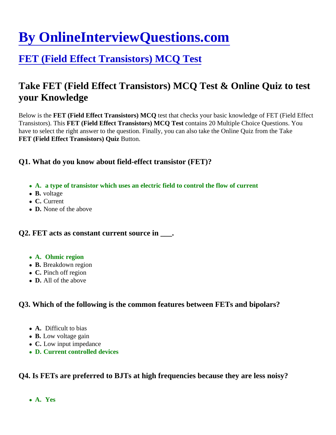# [By OnlineInterviewQuestions.com](https://www.onlineinterviewquestions.com/)

# [FET \(Field Effect Transistors\) MCQ Test](https://www.onlineinterviewquestions.com/fet-field-effect-transistors-mcq/)

# Take FET (Field Effect Transistors) MCQ Test & Online Quiz to test your Knowledge

Below is the FET (Field Effect Transistors) MCQ test that checks your basic knowledge of FET (Field Effect Transistors). This ET (Field Effect Transistors) MCQ Test contains 20 Multiple Choice Questions. You have to select the right answer to the question. Finally, you can also take the Online Quiz from the Take FET (Field Effect Transistors) Quiz Button.

Q1. What do you know about field-effect transistor (FET)?

- A. a type of transistor which uses an electric field to control the flow of current
- B. voltage
- C. Current
- D. None of the above

Q2. FET acts as constant current source in  $\qquad$ .

- A. Ohmic region
- B. Breakdown region
- C. Pinch off region
- D. All of the above

Q3. Which of the following is the common features between FETs and bipolars?

- A. Difficult to bias
- B. Low voltage gain
- C. Low input impedance
- D. Current controlled devices

Q4. Is FETs are preferred to BJTs at high frequencies because they are less noisy?

A. Yes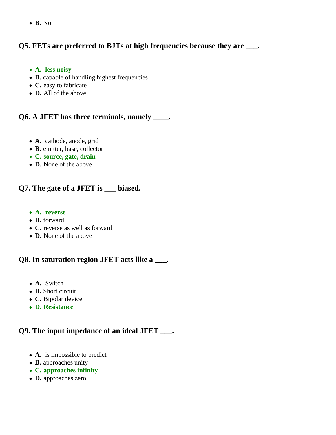**B.** No

# **Q5. FETs are preferred to BJTs at high frequencies because they are \_\_\_.**

- **A. less noisy**
- **B.** capable of handling highest frequencies
- **C.** easy to fabricate
- **D.** All of the above

#### **Q6. A JFET has three terminals, namely \_\_\_\_.**

- **A.** cathode, anode, grid
- **B.** emitter, base, collector
- **C. source, gate, drain**
- **D.** None of the above

# **Q7. The gate of a JFET is \_\_\_ biased.**

- **A. reverse**
- **B.** forward
- **C.** reverse as well as forward
- **D.** None of the above

#### **Q8. In saturation region JFET acts like a \_\_\_.**

- **A.** Switch
- **B.** Short circuit
- **C.** Bipolar device
- **D. Resistance**

#### **Q9. The input impedance of an ideal JFET \_\_\_.**

- **A.** is impossible to predict
- **B.** approaches unity
- **C. approaches infinity**
- **D.** approaches zero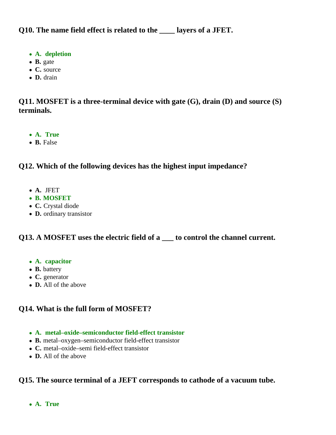**Q10. The name field effect is related to the \_\_\_\_ layers of a JFET.**

- **A. depletion**
- **B.** gate
- **C.** source
- **D.** drain

**Q11. MOSFET is a three-terminal device with gate (G), drain (D) and source (S) terminals.**

- **A. True**
- **B.** False

# **Q12. Which of the following devices has the highest input impedance?**

- **A.** JFET
- **B. MOSFET**
- **C.** Crystal diode
- **D.** ordinary transistor

# **Q13. A MOSFET uses the electric field of a \_\_\_ to control the channel current.**

- **A. capacitor**
- **B.** battery
- **C.** generator
- **D.** All of the above

# **Q14. What is the full form of MOSFET?**

- **A. metal–oxide–semiconductor field-effect transistor**
- **B.** metal–oxygen–semiconductor field-effect transistor
- **C.** metal–oxide–semi field-effect transistor
- **D.** All of the above

# **Q15. The source terminal of a JEFT corresponds to cathode of a vacuum tube.**

**A. True**